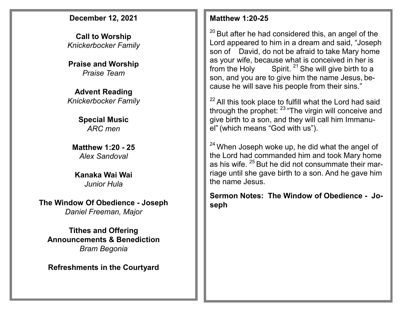### **December 12, 2021**

**Call to Worship**  *Knickerbocker Family*

**Praise and Worship** *Praise Team*

#### **Advent Reading** *Knickerbocker Family*

### **Special Music** *ARC men*

**Matthew 1:20 - 25** *Alex Sandoval*

### **Kanaka Wai Wai** *Junior Hula*

**The Window Of Obedience - Joseph** *Daniel Freeman, Major*

**Tithes and Offering Announcements & Benediction** *Bram Begonia*

**Refreshments in the Courtyard**

### **Matthew 1:20-25**

 $20$  But after he had considered this, an angel of the Lord appeared to him in a dream and said, "Joseph son of David, do not be afraid to take Mary home as your wife, because what is conceived in her is from the Holy Spirit. <sup>21</sup> She will give birth to a son, and you are to give him the name Jesus, because he will save his people from their sins."

 $22$  All this took place to fulfill what the Lord had said through the prophet:  $23$  "The virgin will conceive and give birth to a son, and they will call him Immanuel" (which means "God with us").

 $24$  When Joseph woke up, he did what the angel of the Lord had commanded him and took Mary home as his wife. <sup>25</sup> But he did not consummate their marriage until she gave birth to a son. And he gave him the name Jesus.

**Sermon Notes: The Window of Obedience - Joseph**